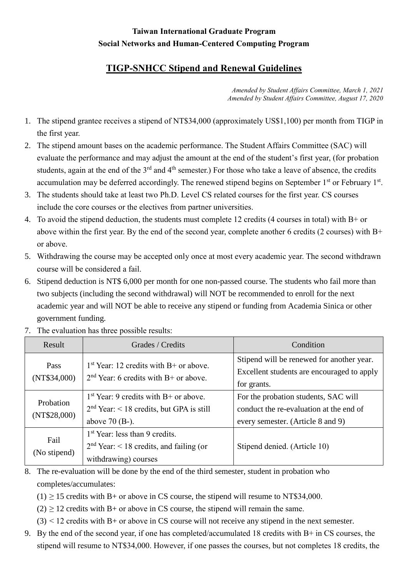## **Taiwan International Graduate Program Social Networks and Human-Centered Computing Program**

## **TIGP-SNHCC Stipend and Renewal Guidelines**

*Amended by Student Affairs Committee, March 1, 2021 Amended by Student Affairs Committee, August 17, 2020*

- 1. The stipend grantee receives a stipend of NT\$34,000 (approximately US\$1,100) per month from TIGP in the first year.
- 2. The stipend amount bases on the academic performance. The Student Affairs Committee (SAC) will evaluate the performance and may adjust the amount at the end of the student's first year, (for probation students, again at the end of the 3<sup>rd</sup> and 4<sup>th</sup> semester.) For those who take a leave of absence, the credits accumulation may be deferred accordingly. The renewed stipend begins on September 1<sup>st</sup> or February 1<sup>st</sup>.
- 3. The students should take at least two Ph.D. Level CS related courses for the first year. CS courses include the core courses or the electives from partner universities.
- 4. To avoid the stipend deduction, the students must complete 12 credits (4 courses in total) with B+ or above within the first year. By the end of the second year, complete another 6 credits (2 courses) with B+ or above.
- 5. Withdrawing the course may be accepted only once at most every academic year. The second withdrawn course will be considered a fail.
- 6. Stipend deduction is NT\$ 6,000 per month for one non-passed course. The students who fail more than two subjects (including the second withdrawal) will NOT be recommended to enroll for the next academic year and will NOT be able to receive any stipend or funding from Academia Sinica or other government funding.

| Result                    | Grades / Credits                                                                                          | Condition                                                                                                            |
|---------------------------|-----------------------------------------------------------------------------------------------------------|----------------------------------------------------------------------------------------------------------------------|
| Pass<br>(NT\$34,000)      | $1st$ Year: 12 credits with B+ or above.<br>$2nd$ Year: 6 credits with B+ or above.                       | Stipend will be renewed for another year.<br>Excellent students are encouraged to apply<br>for grants.               |
| Probation<br>(NT\$28,000) | $1st$ Year: 9 credits with B+ or above.<br>$2nd$ Year: < 18 credits, but GPA is still<br>above $70$ (B-). | For the probation students, SAC will<br>conduct the re-evaluation at the end of<br>every semester. (Article 8 and 9) |
| Fail<br>(No stipend)      | $1st$ Year: less than 9 credits.<br>$2nd$ Year: < 18 credits, and failing (or<br>withdrawing) courses     | Stipend denied. (Article 10)                                                                                         |

7. The evaluation has three possible results:

- 8. The re-evaluation will be done by the end of the third semester, student in probation who completes/accumulates:
	- $(1) \ge 15$  credits with B+ or above in CS course, the stipend will resume to NT\$34,000.
	- $(2)$  > 12 credits with B+ or above in CS course, the stipend will remain the same.
	- $(3)$  < 12 credits with B+ or above in CS course will not receive any stipend in the next semester.
- 9. By the end of the second year, if one has completed/accumulated 18 credits with B+ in CS courses, the stipend will resume to NT\$34,000. However, if one passes the courses, but not completes 18 credits, the